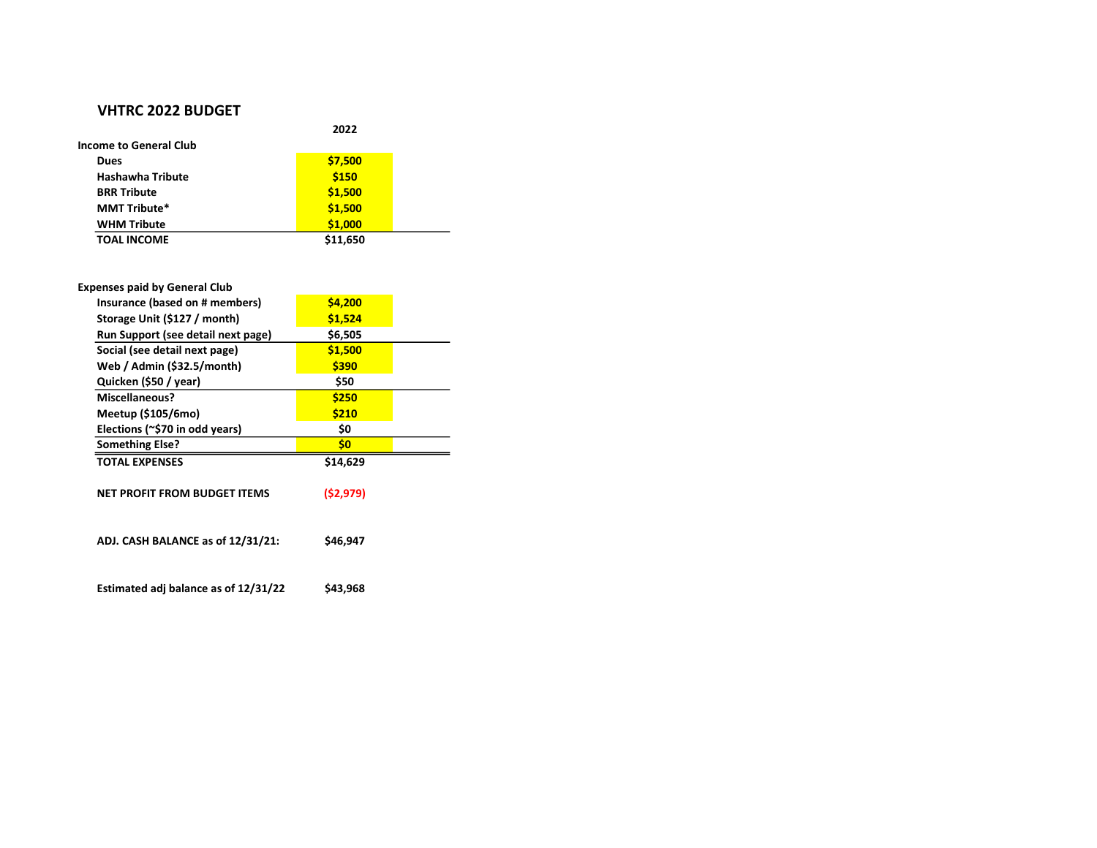## VHTRC 2022 BUDGET

|                         | 2022     |  |  |  |  |
|-------------------------|----------|--|--|--|--|
| Income to General Club  |          |  |  |  |  |
| Dues                    | \$7,500  |  |  |  |  |
| <b>Hashawha Tribute</b> | \$150    |  |  |  |  |
| <b>BRR Tribute</b>      | \$1,500  |  |  |  |  |
| <b>MMT Tribute*</b>     | \$1,500  |  |  |  |  |
| <b>WHM Tribute</b>      | \$1,000  |  |  |  |  |
| <b>TOAL INCOME</b>      | \$11,650 |  |  |  |  |

| <b>Expenses paid by General Club</b> |           |  |
|--------------------------------------|-----------|--|
| Insurance (based on # members)       | \$4,200   |  |
| Storage Unit (\$127 / month)         | \$1,524   |  |
| Run Support (see detail next page)   | \$6,505   |  |
| Social (see detail next page)        | \$1,500   |  |
| Web / Admin (\$32.5/month)           | \$390     |  |
| Quicken (\$50 / year)                | \$50      |  |
| Miscellaneous?                       | \$250     |  |
| Meetup (\$105/6mo)                   | \$210     |  |
| Elections (~\$70 in odd years)       | \$0       |  |
| <b>Something Else?</b>               | \$0       |  |
| <b>TOTAL EXPENSES</b>                | \$14,629  |  |
| NET PROFIT FROM BUDGET ITEMS         | (52, 979) |  |
| ADJ. CASH BALANCE as of 12/31/21:    | \$46,947  |  |
|                                      |           |  |

Estimated adj balance as of  $12/31/22$  \$43,968